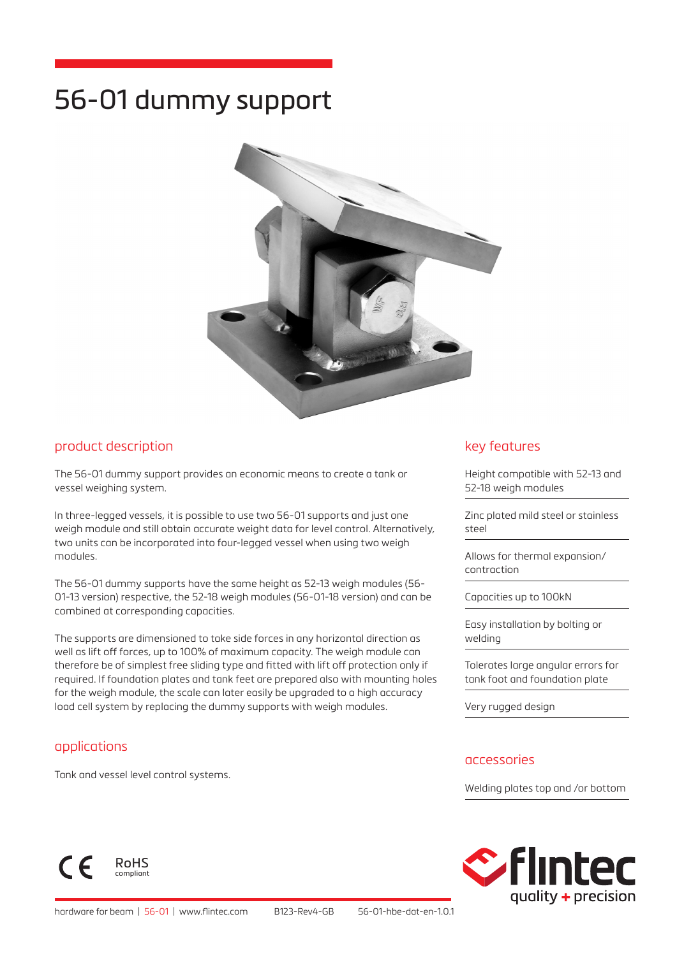# 56-01 dummy support



#### product description

The 56-01 dummy support provides an economic means to create a tank or vessel weighing system.

In three-legged vessels, it is possible to use two 56-01 supports and just one weigh module and still obtain accurate weight data for level control. Alternatively, two units can be incorporated into four-legged vessel when using two weigh modules.

The 56-01 dummy supports have the same height as 52-13 weigh modules (56- 01-13 version) respective, the 52-18 weigh modules (56-01-18 version) and can be combined at corresponding capacities.

The supports are dimensioned to take side forces in any horizontal direction as well as lift off forces, up to 100% of maximum capacity. The weigh module can therefore be of simplest free sliding type and fitted with lift off protection only if required. If foundation plates and tank feet are prepared also with mounting holes for the weigh module, the scale can later easily be upgraded to a high accuracy load cell system by replacing the dummy supports with weigh modules.

#### applications

 $\epsilon$ 

Tank and vessel level control systems.

RoHS compliant

#### key features

Height compatible with 52-13 and 52-18 weigh modules

Zinc plated mild steel or stainless steel

Allows for thermal expansion/ contraction

Capacities up to 100kN

Easy installation by bolting or welding

Tolerates large angular errors for tank foot and foundation plate

Very rugged design

#### accessories

Welding plates top and /or bottom

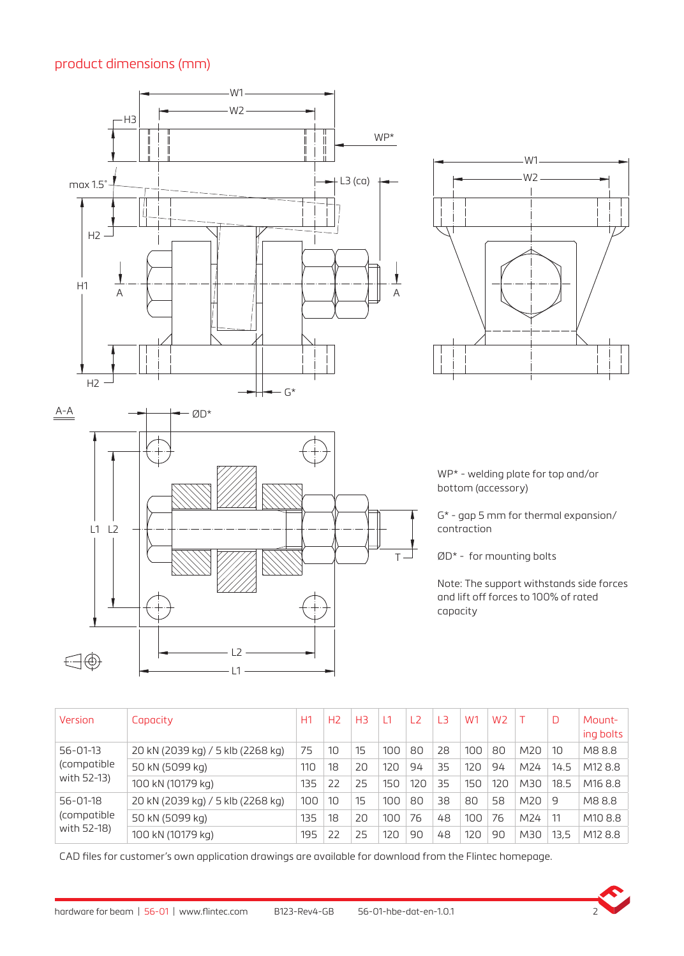### product dimensions (mm)

L1 L2

 $\bigoplus \bigoplus$ 



WP\* - welding plate for top and/or bottom (accessory)

G\* - gap 5 mm for thermal expansion/ contraction

ØD\* - for mounting bolts

Note: The support withstands side forces and lift off forces to 100% of rated capacity

| Version                                      | Capacity                          | H1  | H <sub>2</sub> | H <sub>3</sub> |     | L <sub>2</sub> | L <sub>3</sub> | W <sub>1</sub> | W <sub>2</sub> |     | D    | Mount-<br>ing bolts |
|----------------------------------------------|-----------------------------------|-----|----------------|----------------|-----|----------------|----------------|----------------|----------------|-----|------|---------------------|
| $56 - 01 - 13$<br>(compatible<br>with 52-13) | 20 kN (2039 kg) / 5 klb (2268 kg) | 75  | 10             | 15             | 100 | 80             | 28             | 100            | 80             | M20 | 10   | M88.8               |
|                                              | 50 kN (5099 kg)                   | 110 | 18             | 20             | 120 | 94             | 35             | 120            | 94             | M24 | 14.5 | M128.8              |
|                                              | 100 kN (10179 kg)                 | 135 | 22             | 25             | 150 | 120            | 35             | 150            | 120            | M30 | 18.5 | M <sub>16</sub> 8.8 |
| $56 - 01 - 18$<br>(compatible<br>with 52-18) | 20 kN (2039 kg) / 5 klb (2268 kg) | 100 | 10             | 15             | 100 | 80             | 38             | 80             | 58             | M20 | -9   | M88.8               |
|                                              | 50 kN (5099 kg)                   | 135 | 18             | 20             | 100 | 76             | 48             | 100            | 76             | M24 | 11   | M108.8              |
|                                              | 100 kN (10179 kg)                 | 195 | 22             | 25             | 120 | 90             | 48             | 120            | 90             | M30 | 13.5 | M128.8              |

**T** 

CAD files for customer's own application drawings are available for download from the Flintec homepage.



L1 L2